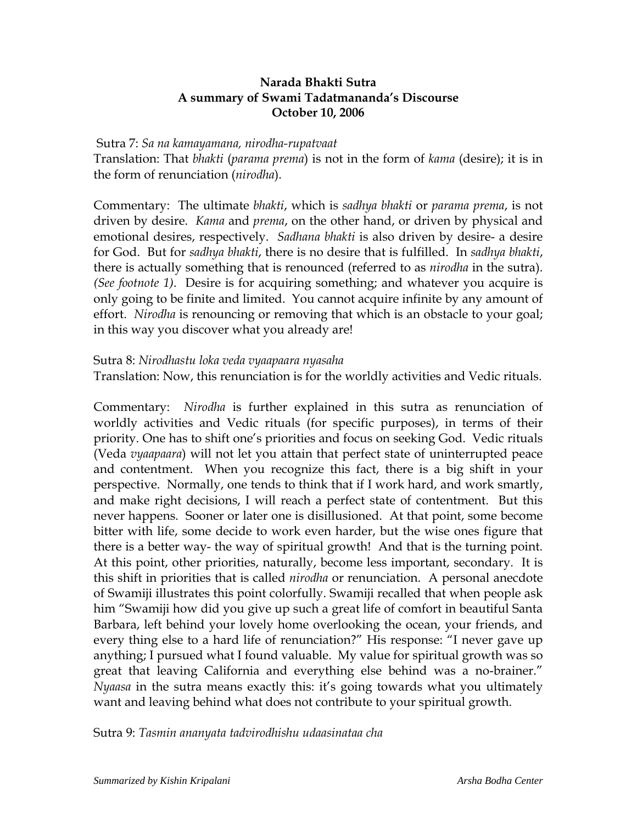## **Narada Bhakti Sutra A summary of Swami Tadatmananda's Discourse October 10, 2006**

## Sutra 7: *Sa na kamayamana, nirodha-rupatvaat*

Translation: That *bhakti* (*parama prema*) is not in the form of *kama* (desire); it is in the form of renunciation (*nirodha*).

Commentary: The ultimate *bhakti*, which is *sadhya bhakti* or *parama prema*, is not driven by desire. *Kama* and *prema*, on the other hand, or driven by physical and emotional desires, respectively. *Sadhana bhakti* is also driven by desire- a desire for God. But for *sadhya bhakti*, there is no desire that is fulfilled. In *sadhya bhakti*, there is actually something that is renounced (referred to as *nirodha* in the sutra). *(See footnote 1)*. Desire is for acquiring something; and whatever you acquire is only going to be finite and limited. You cannot acquire infinite by any amount of effort. *Nirodha* is renouncing or removing that which is an obstacle to your goal; in this way you discover what you already are!

## Sutra 8: *Nirodhastu loka veda vyaapaara nyasaha*

Translation: Now, this renunciation is for the worldly activities and Vedic rituals.

Commentary: *Nirodha* is further explained in this sutra as renunciation of worldly activities and Vedic rituals (for specific purposes), in terms of their priority. One has to shift one's priorities and focus on seeking God. Vedic rituals (Veda *vyaapaara*) will not let you attain that perfect state of uninterrupted peace and contentment. When you recognize this fact, there is a big shift in your perspective. Normally, one tends to think that if I work hard, and work smartly, and make right decisions, I will reach a perfect state of contentment. But this never happens. Sooner or later one is disillusioned. At that point, some become bitter with life, some decide to work even harder, but the wise ones figure that there is a better way- the way of spiritual growth! And that is the turning point. At this point, other priorities, naturally, become less important, secondary. It is this shift in priorities that is called *nirodha* or renunciation. A personal anecdote of Swamiji illustrates this point colorfully. Swamiji recalled that when people ask him "Swamiji how did you give up such a great life of comfort in beautiful Santa Barbara, left behind your lovely home overlooking the ocean, your friends, and every thing else to a hard life of renunciation?" His response: "I never gave up anything; I pursued what I found valuable. My value for spiritual growth was so great that leaving California and everything else behind was a no-brainer." *Nyaasa* in the sutra means exactly this: it's going towards what you ultimately want and leaving behind what does not contribute to your spiritual growth.

Sutra 9: *Tasmin ananyata tadvirodhishu udaasinataa cha*